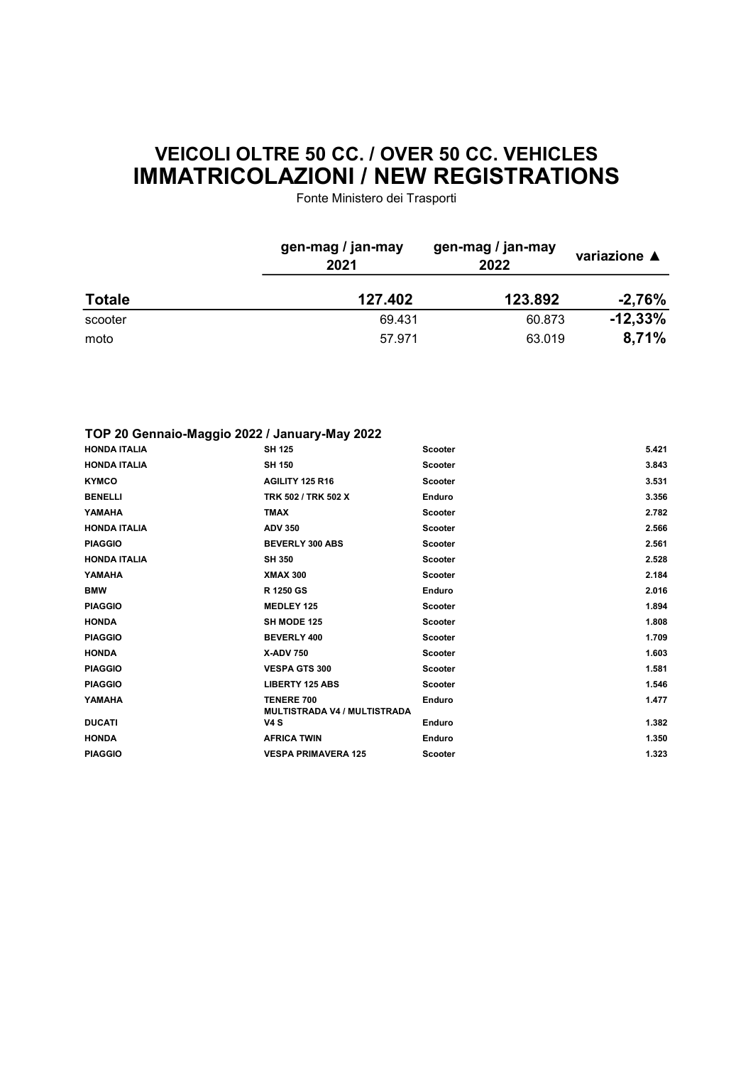## VEICOLI OLTRE 50 CC. / OVER 50 CC. VEHICLES IMMATRICOLAZIONI / NEW REGISTRATIONS

Fonte Ministero dei Trasporti

|               | gen-mag / jan-may<br>2021 | gen-mag / jan-may<br>2022 | variazione ▲<br>-2,76% |
|---------------|---------------------------|---------------------------|------------------------|
| <b>Totale</b> | 127.402                   | 123.892                   |                        |
| scooter       | 69.431                    | 60.873                    | $-12,33\%$             |
| moto          | 57.971                    | 63.019                    | 8,71%                  |

## TOP 20 Gennaio-Maggio 2022 / January-May 2022

| <b>HONDA ITALIA</b> | <b>SH 125</b>                                            | <b>Scooter</b> | 5.421 |
|---------------------|----------------------------------------------------------|----------------|-------|
| <b>HONDA ITALIA</b> | <b>SH 150</b>                                            | <b>Scooter</b> | 3.843 |
| <b>KYMCO</b>        | AGILITY 125 R16                                          | <b>Scooter</b> | 3.531 |
| <b>BENELLI</b>      | TRK 502 / TRK 502 X                                      | <b>Enduro</b>  | 3.356 |
| YAMAHA              | <b>TMAX</b>                                              | <b>Scooter</b> | 2.782 |
| <b>HONDA ITALIA</b> | <b>ADV 350</b>                                           | <b>Scooter</b> | 2.566 |
| <b>PIAGGIO</b>      | <b>BEVERLY 300 ABS</b>                                   | <b>Scooter</b> | 2.561 |
| <b>HONDA ITALIA</b> | <b>SH 350</b>                                            | <b>Scooter</b> | 2.528 |
| YAMAHA              | <b>XMAX 300</b>                                          | <b>Scooter</b> | 2.184 |
| <b>BMW</b>          | R 1250 GS                                                | Enduro         | 2.016 |
| <b>PIAGGIO</b>      | <b>MEDLEY 125</b>                                        | <b>Scooter</b> | 1.894 |
| <b>HONDA</b>        | <b>SH MODE 125</b>                                       | <b>Scooter</b> | 1.808 |
| <b>PIAGGIO</b>      | <b>BEVERLY 400</b>                                       | <b>Scooter</b> | 1.709 |
| <b>HONDA</b>        | <b>X-ADV 750</b>                                         | <b>Scooter</b> | 1.603 |
| <b>PIAGGIO</b>      | <b>VESPA GTS 300</b>                                     | <b>Scooter</b> | 1.581 |
| <b>PIAGGIO</b>      | <b>LIBERTY 125 ABS</b>                                   | <b>Scooter</b> | 1.546 |
| YAMAHA              | <b>TENERE 700</b><br><b>MULTISTRADA V4 / MULTISTRADA</b> | Enduro         | 1.477 |
| <b>DUCATI</b>       | <b>V4S</b>                                               | Enduro         | 1.382 |
| <b>HONDA</b>        | <b>AFRICA TWIN</b>                                       | Enduro         | 1.350 |
| <b>PIAGGIO</b>      | <b>VESPA PRIMAVERA 125</b>                               | <b>Scooter</b> | 1.323 |
|                     |                                                          |                |       |